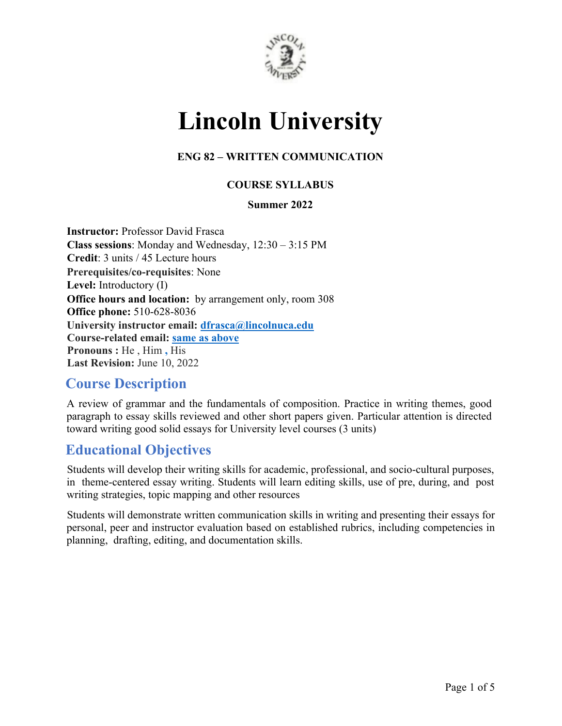

# **Lincoln University**

#### **ENG 82 – WRITTEN COMMUNICATION**

#### **COURSE SYLLABUS**

#### **Summer 2022**

**Instructor:** Professor David Frasca **Class sessions**: Monday and Wednesday, 12:30 – 3:15 PM **Credit**: 3 units / 45 Lecture hours **Prerequisites/co-requisites**: None **Level:** Introductory (I) **Office hours and location:** by arrangement only, room 308 **Office phone:** 510-628-8036 **University instructor email: dfrasca@lincolnuca.edu Course-related email: same as above Pronouns :** He , Him **,** His **Last Revision:** June 10, 2022

# **Course Description**

A review of grammar and the fundamentals of composition. Practice in writing themes, good paragraph to essay skills reviewed and other short papers given. Particular attention is directed toward writing good solid essays for University level courses (3 units)

# **Educational Objectives**

Students will develop their writing skills for academic, professional, and socio-cultural purposes, in theme-centered essay writing. Students will learn editing skills, use of pre, during, and post writing strategies, topic mapping and other resources

Students will demonstrate written communication skills in writing and presenting their essays for personal, peer and instructor evaluation based on established rubrics, including competencies in planning, drafting, editing, and documentation skills.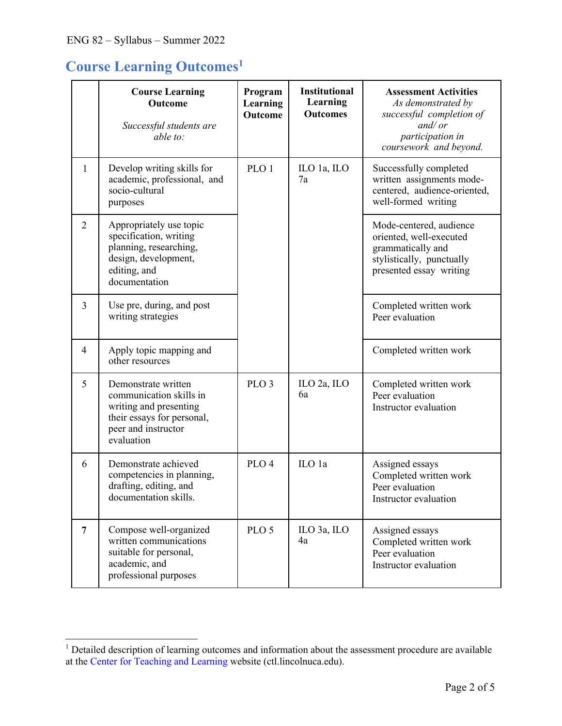# **Course Learning Outcomes1**

|                | <b>Course Learning</b><br><b>Outcome</b><br>Successful students are<br>able to:                                                             | Program<br>Learning<br><b>Outcome</b> | <b>Institutional</b><br>Learning<br><b>Outcomes</b> | <b>Assessment Activities</b><br>As demonstrated by<br>successful completion of<br>and/or<br>participation in<br>coursework and beyond. |
|----------------|---------------------------------------------------------------------------------------------------------------------------------------------|---------------------------------------|-----------------------------------------------------|----------------------------------------------------------------------------------------------------------------------------------------|
| $\mathbf{1}$   | Develop writing skills for<br>academic, professional, and<br>socio-cultural<br>purposes                                                     | PLO <sub>1</sub>                      | ILO 1a, ILO<br>7a                                   | Successfully completed<br>written assignments mode-<br>centered, audience-oriented,<br>well-formed writing                             |
| 2              | Appropriately use topic<br>specification, writing<br>planning, researching,<br>design, development,<br>editing, and<br>documentation        |                                       |                                                     | Mode-centered, audience<br>oriented, well-executed<br>grammatically and<br>stylistically, punctually<br>presented essay writing        |
| $\overline{3}$ | Use pre, during, and post<br>writing strategies                                                                                             |                                       |                                                     | Completed written work<br>Peer evaluation                                                                                              |
| $\overline{4}$ | Apply topic mapping and<br>other resources                                                                                                  |                                       |                                                     | Completed written work                                                                                                                 |
| 5              | Demonstrate written<br>communication skills in<br>writing and presenting<br>their essays for personal,<br>peer and instructor<br>evaluation | PLO <sub>3</sub>                      | ILO 2a, ILO<br>6a                                   | Completed written work<br>Peer evaluation<br>Instructor evaluation                                                                     |
| 6              | Demonstrate achieved<br>competencies in planning,<br>drafting, editing, and<br>documentation skills.                                        | PLO <sub>4</sub>                      | ILO 1a                                              | Assigned essays<br>Completed written work<br>Peer evaluation<br>Instructor evaluation                                                  |
| $\overline{7}$ | Compose well-organized<br>written communications<br>suitable for personal,<br>academic, and<br>professional purposes                        | PLO <sub>5</sub>                      | ILO 3a, ILO<br>4a                                   | Assigned essays<br>Completed written work<br>Peer evaluation<br>Instructor evaluation                                                  |

 $1$  Detailed description of learning outcomes and information about the assessment procedure are available at the Center for Teaching and Learning website (ctl.lincolnuca.edu).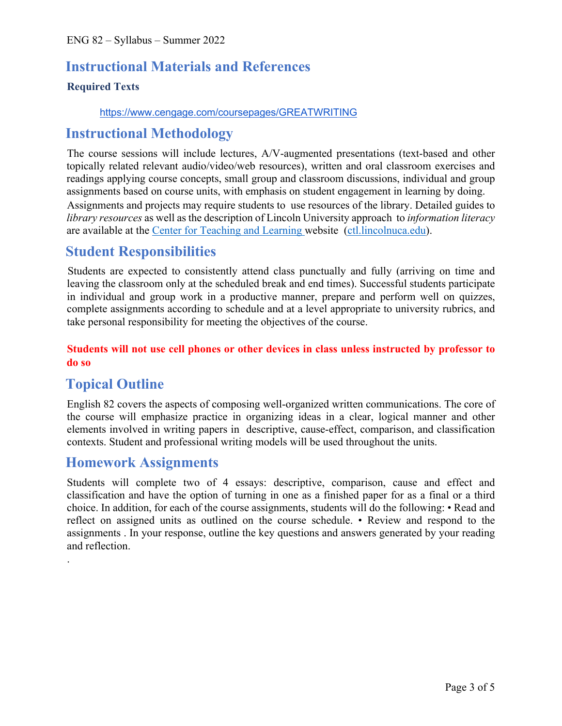# **Instructional Materials and References**

#### **Required Texts**

#### https://www.cengage.com/coursepages/GREATWRITING

# **Instructional Methodology**

The course sessions will include lectures, A/V-augmented presentations (text-based and other topically related relevant audio/video/web resources), written and oral classroom exercises and readings applying course concepts, small group and classroom discussions, individual and group assignments based on course units, with emphasis on student engagement in learning by doing.

Assignments and projects may require students to use resources of the library. Detailed guides to *library resources* as well as the description of Lincoln University approach to *information literacy*  are available at the Center for Teaching and Learning website (ctl.lincolnuca.edu).

# **Student Responsibilities**

Students are expected to consistently attend class punctually and fully (arriving on time and leaving the classroom only at the scheduled break and end times). Successful students participate in individual and group work in a productive manner, prepare and perform well on quizzes, complete assignments according to schedule and at a level appropriate to university rubrics, and take personal responsibility for meeting the objectives of the course.

#### **Students will not use cell phones or other devices in class unless instructed by professor to do so**

# **Topical Outline**

.

English 82 covers the aspects of composing well-organized written communications. The core of the course will emphasize practice in organizing ideas in a clear, logical manner and other elements involved in writing papers in descriptive, cause-effect, comparison, and classification contexts. Student and professional writing models will be used throughout the units.

### **Homework Assignments**

Students will complete two of 4 essays: descriptive, comparison, cause and effect and classification and have the option of turning in one as a finished paper for as a final or a third choice. In addition, for each of the course assignments, students will do the following: • Read and reflect on assigned units as outlined on the course schedule. • Review and respond to the assignments . In your response, outline the key questions and answers generated by your reading and reflection.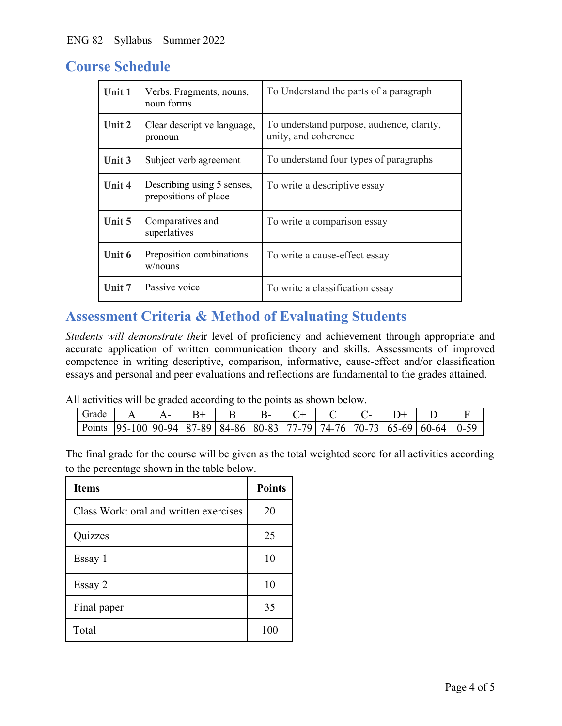# **Course Schedule**

| Unit 1 | Verbs. Fragments, nouns,<br>noun forms              | To Understand the parts of a paragraph                            |  |
|--------|-----------------------------------------------------|-------------------------------------------------------------------|--|
| Unit 2 | Clear descriptive language,<br>pronoun              | To understand purpose, audience, clarity,<br>unity, and coherence |  |
| Unit 3 | Subject verb agreement                              | To understand four types of paragraphs                            |  |
| Unit 4 | Describing using 5 senses,<br>prepositions of place | To write a descriptive essay                                      |  |
| Unit 5 | Comparatives and<br>superlatives                    | To write a comparison essay                                       |  |
| Unit 6 | Preposition combinations<br>w/nouns                 | To write a cause-effect essay                                     |  |
| Unit 7 | Passive voice                                       | To write a classification essay                                   |  |

# **Assessment Criteria & Method of Evaluating Students**

*Students will demonstrate the*ir level of proficiency and achievement through appropriate and accurate application of written communication theory and skills. Assessments of improved competence in writing descriptive, comparison, informative, cause-effect and/or classification essays and personal and peer evaluations and reflections are fundamental to the grades attained.

All activities will be graded according to the points as shown below.

| Grade                                                                                          |  | $R+$ | $R_{\text{-}}$ |  |  |  |
|------------------------------------------------------------------------------------------------|--|------|----------------|--|--|--|
| Points   95-100   90-94   87-89   84-86   80-83   77-79   74-76   70-73   65-69   60-64   0-59 |  |      |                |  |  |  |

The final grade for the course will be given as the total weighted score for all activities according to the percentage shown in the table below.

| <b>Items</b>                           | <b>Points</b> |
|----------------------------------------|---------------|
| Class Work: oral and written exercises | 20            |
| Quizzes                                | 25            |
| Essay 1                                | 10            |
| Essay 2                                | 10            |
| Final paper                            | 35            |
| Total                                  | 100           |